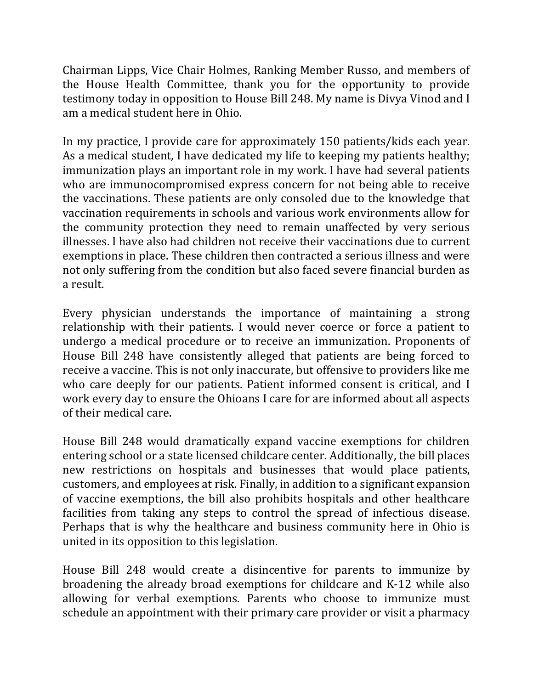Chairman Lipps, Vice Chair Holmes, Ranking Member Russo, and members of the House Health Committee, thank you for the opportunity to provide testimony today in opposition to House Bill 248. My name is Divya Vinod and I am a medical student here in Ohio.

In my practice, I provide care for approximately 150 patients/kids each year. As a medical student, I have dedicated my life to keeping my patients healthy; immunization plays an important role in my work. I have had several patients who are immunocompromised express concern for not being able to receive the vaccinations. These patients are only consoled due to the knowledge that vaccination requirements in schools and various work environments allow for the community protection they need to remain unaffected by very serious illnesses. I have also had children not receive their vaccinations due to current exemptions in place. These children then contracted a serious illness and were not only suffering from the condition but also faced severe financial burden as a result.

Every physician understands the importance of maintaining a strong relationship with their patients. I would never coerce or force a patient to undergo a medical procedure or to receive an immunization. Proponents of House Bill 248 have consistently alleged that patients are being forced to receive a vaccine. This is not only inaccurate, but offensive to providers like me who care deeply for our patients. Patient informed consent is critical, and I work every day to ensure the Ohioans I care for are informed about all aspects of their medical care.

House Bill 248 would dramatically expand vaccine exemptions for children entering school or a state licensed childcare center. Additionally, the bill places new restrictions on hospitals and businesses that would place patients, customers, and employees at risk. Finally, in addition to a significant expansion of vaccine exemptions, the bill also prohibits hospitals and other healthcare facilities from taking any steps to control the spread of infectious disease. Perhaps that is why the healthcare and business community here in Ohio is united in its opposition to this legislation.

House Bill 248 would create a disincentive for parents to immunize by broadening the already broad exemptions for childcare and K-12 while also allowing for verbal exemptions. Parents who choose to immunize must schedule an appointment with their primary care provider or visit a pharmacy